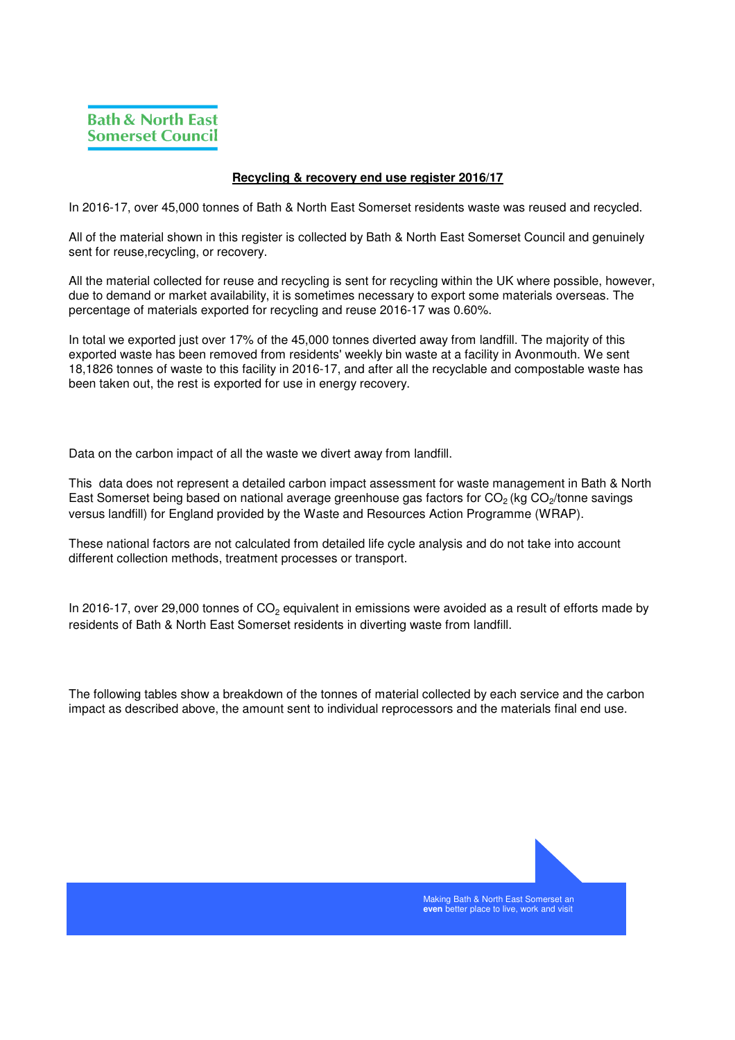## **Recycling & recovery end use register 2016/17**

In 2016-17, over 45,000 tonnes of Bath & North East Somerset residents waste was reused and recycled.

All of the material shown in this register is collected by Bath & North East Somerset Council and genuinely sent for reuse,recycling, or recovery.

All the material collected for reuse and recycling is sent for recycling within the UK where possible, however, due to demand or market availability, it is sometimes necessary to export some materials overseas. The percentage of materials exported for recycling and reuse 2016-17 was 0.60%.

In total we exported just over 17% of the 45,000 tonnes diverted away from landfill. The majority of this exported waste has been removed from residents' weekly bin waste at a facility in Avonmouth. We sent 18,1826 tonnes of waste to this facility in 2016-17, and after all the recyclable and compostable waste has been taken out, the rest is exported for use in energy recovery.

Data on the carbon impact of all the waste we divert away from landfill.

This data does not represent a detailed carbon impact assessment for waste management in Bath & North East Somerset being based on national average greenhouse gas factors for CO<sub>2</sub> (kg CO<sub>2</sub>/tonne savings versus landfill) for England provided by the Waste and Resources Action Programme (WRAP).

These national factors are not calculated from detailed life cycle analysis and do not take into account different collection methods, treatment processes or transport.

In 2016-17, over 29,000 tonnes of  $CO<sub>2</sub>$  equivalent in emissions were avoided as a result of efforts made by residents of Bath & North East Somerset residents in diverting waste from landfill.

The following tables show a breakdown of the tonnes of material collected by each service and the carbon impact as described above, the amount sent to individual reprocessors and the materials final end use.



**even** better place to live, work and visit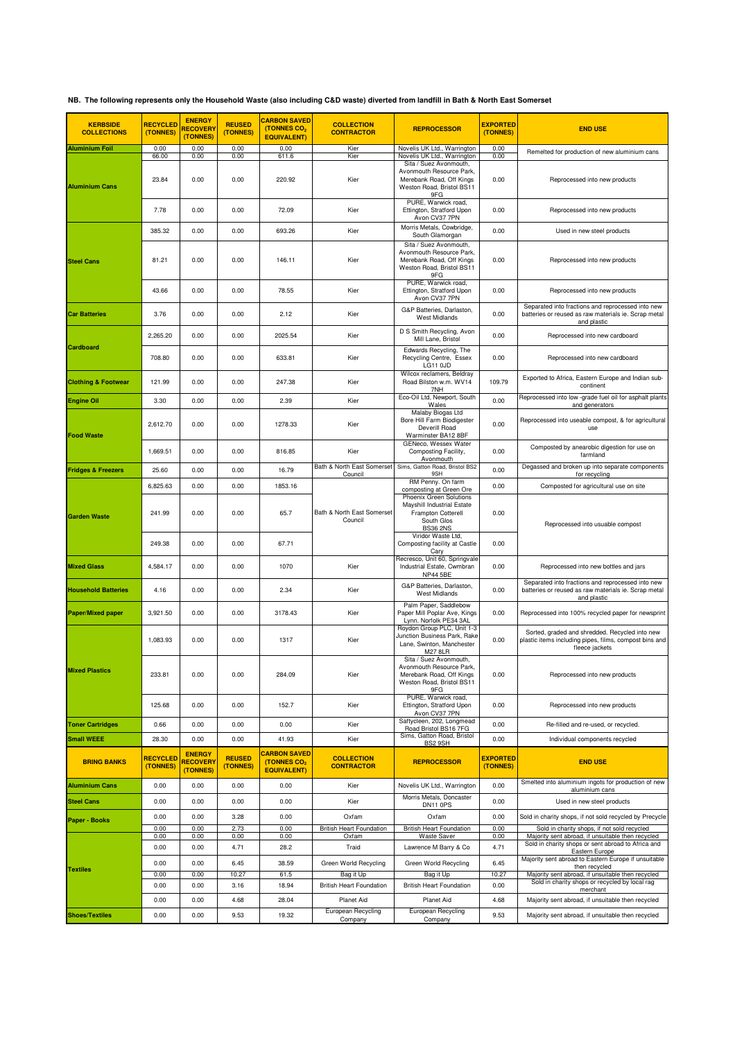## **NB. The following represents only the Household Waste (also including C&D waste) diverted from landfill in Bath & North East Somerset**

| <b>KERBSIDE</b><br><b>COLLECTIONS</b> | <b>RECYCLED</b><br>(TONNES) | <b>ENERGY</b><br><b>RECOVERY</b><br>(TONNES) | <b>REUSED</b><br>(TONNES) | <b>CARBON SAVED</b><br>(TONNES CO <sub>2</sub><br><b>EQUIVALENT)</b> | <b>COLLECTION</b><br><b>CONTRACTOR</b>        | <b>REPROCESSOR</b>                                                                                                                        | <b>EXPORTED</b><br>(TONNES) | <b>END USE</b>                                                                                                             |
|---------------------------------------|-----------------------------|----------------------------------------------|---------------------------|----------------------------------------------------------------------|-----------------------------------------------|-------------------------------------------------------------------------------------------------------------------------------------------|-----------------------------|----------------------------------------------------------------------------------------------------------------------------|
| <b>Aluminium Foil</b>                 | 0.00<br>66.00               | 0.00<br>0.00                                 | 0.00<br>0.00              | 0.00<br>611.6                                                        | Kier<br>Kier                                  | Novelis UK Ltd., Warrington<br>Novelis UK Ltd., Warrington                                                                                | 0.00<br>0.00                | Remelted for production of new aluminium cans                                                                              |
| <b>Aluminium Cans</b>                 | 23.84                       | 0.00                                         | 0.00                      | 220.92                                                               | Kier                                          | Sita / Suez Avonmouth,<br>Avonmouth Resource Park,<br>Merebank Road, Off Kings<br>Weston Road, Bristol BS11<br>9FG                        | 0.00                        | Reprocessed into new products                                                                                              |
|                                       | 7.78                        | 0.00                                         | 0.00                      | 72.09                                                                | Kier                                          | PURE, Warwick road,<br>Ettington, Stratford Upon<br>Avon CV37 7PN                                                                         | 0.00                        | Reprocessed into new products                                                                                              |
|                                       | 385.32                      | 0.00                                         | 0.00                      | 693.26                                                               | Kier                                          | Morris Metals, Cowbridge,<br>South Glamorgan                                                                                              | 0.00                        | Used in new steel products                                                                                                 |
| <b>Steel Cans</b>                     | 81.21                       | 0.00                                         | 0.00                      | 146.11                                                               | Kier                                          | Sita / Suez Avonmouth,<br>Avonmouth Resource Park,<br>Merebank Road, Off Kings<br>Weston Road, Bristol BS11<br>9FG                        | 0.00                        | Reprocessed into new products                                                                                              |
|                                       | 43.66                       | 0.00                                         | 0.00                      | 78.55                                                                | Kier                                          | PURE, Warwick road,<br>Ettington, Stratford Upon<br>Avon CV37 7PN                                                                         | 0.00                        | Reprocessed into new products                                                                                              |
| <b>Car Batteries</b>                  | 3.76                        | 0.00                                         | 0.00                      | 2.12                                                                 | Kier                                          | G&P Batteries, Darlaston,<br><b>West Midlands</b>                                                                                         | 0.00                        | Separated into fractions and reprocessed into new<br>batteries or reused as raw materials ie. Scrap metal<br>and plastic   |
|                                       | 2,265.20                    | 0.00                                         | 0.00                      | 2025.54                                                              | Kier                                          | D S Smith Recycling, Avon<br>Mill Lane, Bristol                                                                                           | 0.00                        | Reprocessed into new cardboard                                                                                             |
| <b>Cardboard</b>                      | 708.80                      | 0.00                                         | 0.00                      | 633.81                                                               | Kier                                          | Edwards Recycling, The<br>Recycling Centre, Essex<br><b>LG11 0JD</b>                                                                      | 0.00                        | Reprocessed into new cardboard                                                                                             |
| <b>Clothing &amp; Footwear</b>        | 121.99                      | 0.00                                         | 0.00                      | 247.38                                                               | Kier                                          | Wilcox reclamers, Beldray<br>Road Bilston w.m. WV14<br>7NH                                                                                | 109.79                      | Exported to Africa, Eastern Europe and Indian sub-<br>continent                                                            |
| <b>Engine Oil</b>                     | 3.30                        | 0.00                                         | 0.00                      | 2.39                                                                 | Kier                                          | Eco-Oil Ltd, Newport, South<br>Wales                                                                                                      | 0.00                        | Reprocessed into low -grade fuel oil for asphalt plants<br>and generators                                                  |
| <b>Food Waste</b>                     | 2,612.70                    | 0.00                                         | 0.00                      | 1278.33                                                              | Kier                                          | Malaby Biogas Ltd<br>Bore Hill Farm Biodigester<br>Deverill Road<br>Warminster BA12 8BF                                                   | 0.00                        | Reprocessed into useable compost, & for agricultural<br>use                                                                |
|                                       | 1,669.51                    | 0.00                                         | 0.00                      | 816.85                                                               | Kier                                          | GENeco, Wessex Water<br>Composting Facility,<br>Avonmouth                                                                                 | 0.00                        | Composted by anearobic digestion for use on<br>farmland                                                                    |
| <b>Fridges &amp; Freezers</b>         | 25.60                       | 0.00                                         | 0.00                      | 16.79                                                                | Bath & North East Somerset<br>Council         | Sims, Gatton Road, Bristol BS2<br>9SH                                                                                                     | 0.00                        | Degassed and broken up into separate components<br>for recycling                                                           |
|                                       | 6,825.63                    | 0.00                                         | 0.00                      | 1853.16                                                              |                                               | RM Penny. On farm<br>composting at Green Ore                                                                                              | 0.00                        | Composted for agricultural use on site                                                                                     |
| <b>Garden Waste</b>                   | 241.99                      | 0.00                                         | 0.00                      | 65.7                                                                 | Bath & North East Somerset<br>Council         | Phoenix Green Solutions<br>Mayshill Industrial Estate<br>Frampton Cotterell<br>South Glos<br><b>BS36 2NS</b>                              | 0.00                        | Reprocessed into usuable compost                                                                                           |
|                                       | 249.38                      | 0.00                                         | 0.00                      | 67.71                                                                |                                               | Viridor Waste Ltd,<br>Composting facility at Castle<br>Cary                                                                               | 0.00                        |                                                                                                                            |
| <b>Mixed Glass</b>                    | 4,584.17                    | 0.00                                         | 0.00                      | 1070                                                                 | Kier                                          | Recresco, Unit 60, Springvale<br>Industrial Estate, Cwmbran<br><b>NP44 5BE</b>                                                            | 0.00                        | Reprocessed into new bottles and jars                                                                                      |
| <b>Household Batteries</b>            | 4.16                        | 0.00                                         | 0.00                      | 2.34                                                                 | Kier                                          | G&P Batteries, Darlaston,<br><b>West Midlands</b>                                                                                         | 0.00                        | Separated into fractions and reprocessed into new<br>batteries or reused as raw materials ie. Scrap metal<br>and plastic   |
| <b>Paper/Mixed paper</b>              | 3,921.50                    | 0.00                                         | 0.00                      | 3178.43                                                              | Kier                                          | Palm Paper, Saddlebow<br>Paper Mill Poplar Ave, Kings<br>Lynn. Norfolk PE34 3AL                                                           | 0.00                        | Reprocessed into 100% recycled paper for newsprint                                                                         |
|                                       | 1,083.93                    | 0.00                                         | 0.00                      | 1317                                                                 | Kier                                          | Roydon Group PLC, Unit 1-3<br>Junction Business Park, Rake<br>Lane, Swinton, Manchester<br>M27 8LR                                        | 0.00                        | Sorted, graded and shredded. Recycled into new<br>plastic items including pipes, films, compost bins and<br>fleece jackets |
| <b>Mixed Plastics</b>                 | 233.81                      | 0.00                                         | 0.00                      | 284.09                                                               | Kier                                          | Sita / Suez Avonmouth,<br>Avonmouth Resource Park,<br>Merebank Road, Off Kings<br>Weston Road, Bristol BS11<br>9FG<br>PURE. Warwick road. | 0.00                        | Reprocessed into new products                                                                                              |
|                                       | 125.68                      | 0.00                                         | 0.00                      | 152.7                                                                | Kier                                          | Ettington, Stratford Upon<br>Avon CV37 7PN                                                                                                | 0.00                        | Reprocessed into new products                                                                                              |
| <b>Toner Cartridges</b>               | 0.66                        | 0.00                                         | 0.00                      | 0.00                                                                 | Kier                                          | Saftycleen, 202, Longmead<br>Road Bristol BS16 7FG                                                                                        | 0.00                        | Re-filled and re-used, or recycled.                                                                                        |
| <b>Small WEEE</b>                     | 28.30                       | 0.00                                         | 0.00                      | 41.93                                                                | Kier                                          | Sims, Gatton Road, Bristol<br>BS2 9SH                                                                                                     | 0.00                        | Individual components recycled                                                                                             |
| <b>BRING BANKS</b>                    | <b>RECYCLED</b><br>(TONNES) | <b>ENERGY</b><br><b>RECOVERY</b><br>(TONNES) | <b>REUSED</b><br>(TONNES) | <b>CARBON SAVED</b><br>(TONNES CO <sub>2</sub><br><b>EQUIVALENT)</b> | <b>COLLECTION</b><br><b>CONTRACTOR</b>        | <b>REPROCESSOR</b>                                                                                                                        | <b>EXPORTED</b><br>(TONNES) | <b>END USE</b>                                                                                                             |
| <b>Aluminium Cans</b>                 | 0.00                        | 0.00                                         | 0.00                      | 0.00                                                                 | Kier                                          | Novelis UK Ltd., Warrington                                                                                                               | 0.00                        | Smelted into aluminium ingots for production of new<br>aluminium cans                                                      |
| <b>Steel Cans</b>                     | 0.00                        | 0.00                                         | 0.00                      | 0.00                                                                 | Kier                                          | Morris Metals, Doncaster<br>DN11 0PS                                                                                                      | 0.00                        | Used in new steel products                                                                                                 |
| <b>Paper - Books</b>                  | 0.00<br>0.00                | 0.00<br>0.00                                 | 3.28<br>2.73              | 0.00<br>0.00                                                         | Oxfam<br><b>British Heart Foundation</b>      | Oxfam<br><b>British Heart Foundation</b>                                                                                                  | 0.00<br>0.00                | Sold in charity shops, if not sold recycled by Precycle<br>Sold in charity shops, if not sold recycled                     |
|                                       | 0.00                        | 0.00                                         | 0.00                      | 0.00                                                                 | Oxfam                                         | Waste Saver                                                                                                                               | 0.00                        | Majority sent abroad, if unsuitable then recycled                                                                          |
|                                       | 0.00                        | 0.00                                         | 4.71                      | 28.2                                                                 | Traid                                         | Lawrence M Barry & Co                                                                                                                     | 4.71                        | Sold in charity shops or sent abroad to Africa and<br>Eastern Europe                                                       |
| <b>Textiles</b>                       | 0.00                        | 0.00                                         | 6.45                      | 38.59                                                                | Green World Recycling                         | Green World Recycling                                                                                                                     | 6.45                        | Majority sent abroad to Eastern Europe if unsuitable<br>then recycled                                                      |
|                                       | 0.00                        | 0.00                                         | 10.27                     | 61.5                                                                 | Bag it Up                                     | Bag it Up                                                                                                                                 | 10.27                       | Majority sent abroad, if unsuitable then recycled<br>Sold in charity shops or recycled by local rag                        |
|                                       | 0.00<br>0.00                | 0.00<br>0.00                                 | 3.16<br>4.68              | 18.94<br>28.04                                                       | <b>British Heart Foundation</b><br>Planet Aid | <b>British Heart Foundation</b><br><b>Planet Aid</b>                                                                                      | 0.00<br>4.68                | merchant<br>Majority sent abroad, if unsuitable then recycled                                                              |
| <b>Shoes/Textiles</b>                 | 0.00                        | 0.00                                         | 9.53                      | 19.32                                                                | European Recycling<br>Company                 | <b>European Recycling</b><br>Company                                                                                                      | 9.53                        | Majority sent abroad, if unsuitable then recycled                                                                          |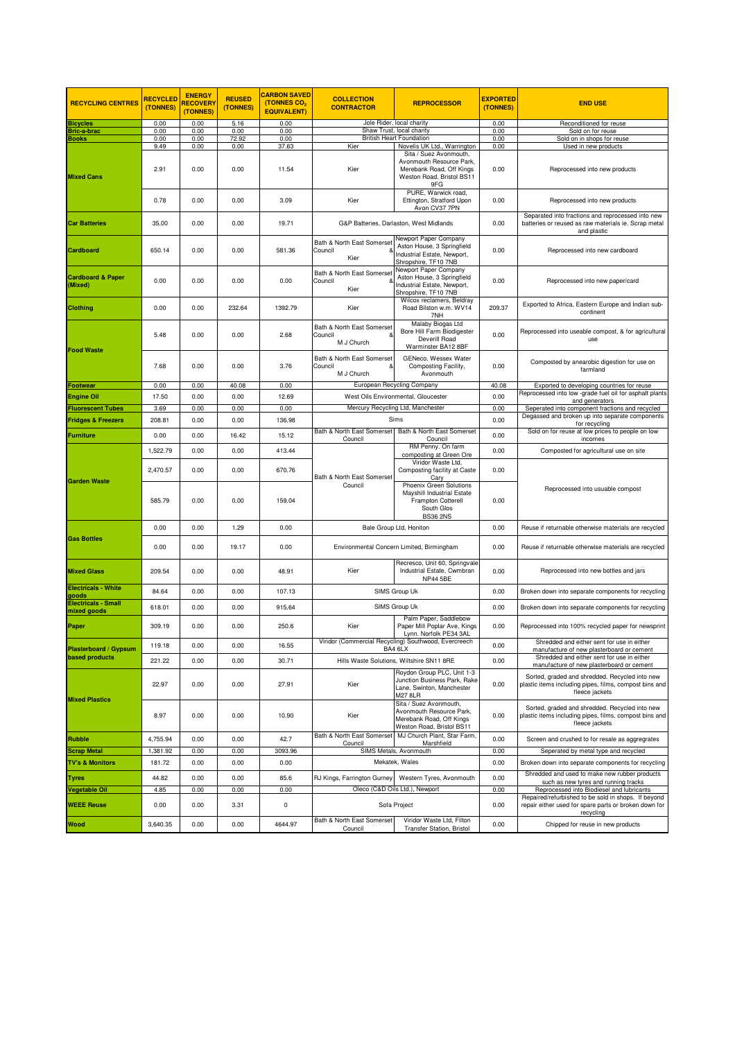| <b>RECYCLING CENTRES</b>                           | <b>RECYCLED</b><br>(TONNES) | <b>ENERGY</b><br><b>RECOVERY</b><br>(TONNES) | <b>REUSED</b><br>(TONNES) | <b>CARBON SAVED</b><br>(TONNES CO <sub>2</sub><br><b>EQUIVALENT)</b> | <b>COLLECTION</b><br><b>CONTRACTOR</b>              | <b>REPROCESSOR</b>                                                                                                 | <b>EXPORTED</b><br>(TONNES) | <b>END USE</b>                                                                                                             |
|----------------------------------------------------|-----------------------------|----------------------------------------------|---------------------------|----------------------------------------------------------------------|-----------------------------------------------------|--------------------------------------------------------------------------------------------------------------------|-----------------------------|----------------------------------------------------------------------------------------------------------------------------|
| <b>Bicycles</b>                                    | 0.00                        | 0.00                                         | 5.16                      | 0.00                                                                 | Jole Rider, local charity                           |                                                                                                                    | 0.00                        | Reconditioned for reuse                                                                                                    |
| <b>Bric-a-brac</b>                                 | 0.00<br>0.00                | 0.00<br>0.00                                 | 0.00<br>72.92             | 0.00<br>0.00                                                         |                                                     | Shaw Trust, local charity<br><b>British Heart Foundation</b>                                                       | 0.00<br>0.00                | Sold on for reuse                                                                                                          |
| <b>Books</b>                                       | 9.49                        | 0.00                                         | 0.00                      | 37.63                                                                | Kier                                                | Novelis UK Ltd., Warrington                                                                                        | 0.00                        | Sold on in shops for reuse<br>Used in new products                                                                         |
| <b>Mixed Cans</b>                                  | 2.91                        | 0.00                                         | 0.00                      | 11.54                                                                | Kier                                                | Sita / Suez Avonmouth,<br>Avonmouth Resource Park,<br>Merebank Road, Off Kings<br>Weston Road, Bristol BS11<br>9FG | 0.00                        | Reprocessed into new products                                                                                              |
|                                                    | 0.78                        | 0.00                                         | 0.00                      | 3.09                                                                 | Kier                                                | PURE, Warwick road,<br>Ettington, Stratford Upon<br>Avon CV37 7PN                                                  | 0.00                        | Reprocessed into new products                                                                                              |
| <b>Car Batteries</b>                               | 35.00                       | 0.00                                         | 0.00                      | 19.71                                                                |                                                     | G&P Batteries, Darlaston, West Midlands                                                                            | 0.00                        | Separated into fractions and reprocessed into new<br>batteries or reused as raw materials ie. Scrap metal<br>and plastic   |
| Cardboard                                          | 650.14                      | 0.00                                         | 0.00                      | 581.36                                                               | Bath & North East Somerset<br>Council<br>Kier       | Newport Paper Company<br>Aston House, 3 Springfield<br>Industrial Estate, Newport,<br>Shropshire, TF10 7NB         | 0.00                        | Reprocessed into new cardboard                                                                                             |
| <b>Cardboard &amp; Paper</b><br>(Mixed)            | 0.00                        | 0.00                                         | 0.00                      | 0.00                                                                 | Bath & North East Somerset<br>Council<br>Kier       | Newport Paper Company<br>Aston House, 3 Springfield<br>Industrial Estate, Newport,<br>Shropshire, TF10 7NB         | 0.00                        | Reprocessed into new paper/card                                                                                            |
| <b>Clothing</b>                                    | 0.00                        | 0.00                                         | 232.64                    | 1392.79                                                              | Kier                                                | Wilcox reclamers, Beldray<br>Road Bilston w.m. WV14<br>7NH                                                         | 209.37                      | Exported to Africa, Eastern Europe and Indian sub-<br>continent                                                            |
| <b>Food Waste</b>                                  | 5.48                        | 0.00                                         | 0.00                      | 2.68                                                                 | Bath & North East Somerset<br>Council<br>M J Church | Malaby Biogas Ltd<br>Bore Hill Farm Biodigester<br>Deverill Road<br>Warminster BA12 8BF                            | 0.00                        | Reprocessed into useable compost, & for agricultural<br>use                                                                |
|                                                    | 7.68                        | 0.00                                         | 0.00                      | 3.76                                                                 | Bath & North East Somerset<br>Council<br>M J Church | GENeco, Wessex Water<br>Composting Facility,<br>Avonmouth                                                          | 0.00                        | Composted by anearobic digestion for use on<br>farmland                                                                    |
| Footwear                                           | 0.00                        | 0.00                                         | 40.08                     | 0.00                                                                 |                                                     | European Recycling Company                                                                                         | 40.08                       | Exported to developing countries for reuse                                                                                 |
| <b>Engine Oil</b>                                  | 17.50                       | 0.00                                         | 0.00                      | 12.69                                                                |                                                     | West Oils Environmental, Gloucester                                                                                | 0.00                        | Reprocessed into low -grade fuel oil for asphalt plants<br>and generators                                                  |
| <b>Iuorescent Tubes</b>                            | 3.69                        | 0.00                                         | 0.00                      | 0.00                                                                 |                                                     | Mercury Recycling Ltd, Manchester                                                                                  | 0.00                        | Seperated into component fractions and recycled                                                                            |
| <b>Fridges &amp; Freezers</b>                      | 208.81                      | 0.00                                         | 0.00                      | 136.98                                                               |                                                     | Sims                                                                                                               | 0.00                        | Degassed and broken up into separate components<br>for recycling                                                           |
| <b>Furniture</b>                                   | 0.00                        | 0.00                                         | 16.42                     | 15.12                                                                | Bath & North East Somerset<br>Council               | Bath & North East Somerset<br>Council                                                                              | 0.00                        | Sold on for reuse at low prices to people on low<br>incomes                                                                |
| <b>Garden Waste</b>                                | 1,522.79                    | 0.00                                         | 0.00                      | 413.44                                                               | Bath & North East Somerset<br>Council               | RM Penny. On farm<br>composting at Green Ore                                                                       | 0.00                        | Composted for agricultural use on site                                                                                     |
|                                                    | 2,470.57                    | 0.00                                         | 0.00                      | 670.76                                                               |                                                     | Viridor Waste Ltd.<br>Composting facility at Caste<br>Cary                                                         | 0.00                        | Reprocessed into usuable compost                                                                                           |
|                                                    | 585.79                      | 0.00                                         | 0.00                      | 159.04                                                               |                                                     | Phoenix Green Solutions<br>Mayshill Industrial Estate<br>Frampton Cotterell<br>South Glos<br><b>BS36 2NS</b>       | 0.00                        |                                                                                                                            |
|                                                    | 0.00                        | 0.00                                         | 1.29                      | 0.00                                                                 | Bale Group Ltd, Honiton                             |                                                                                                                    | 0.00                        | Reuse if returnable otherwise materials are recycled                                                                       |
| <b>Gas Bottles</b>                                 | 0.00                        | 0.00                                         | 19.17                     | 0.00                                                                 |                                                     | Environmental Concern Limited, Birmingham                                                                          | 0.00                        | Reuse if returnable otherwise materials are recycled                                                                       |
| <b>Mixed Glass</b>                                 | 209.54                      | 0.00                                         | 0.00                      | 48.91                                                                | Kier                                                | Recresco, Unit 60, Springvale<br>Industrial Estate, Cwmbran<br><b>NP44 5BE</b>                                     | 0.00                        | Reprocessed into new bottles and jars                                                                                      |
| <b>Electricals - White</b>                         | 84.64                       | 0.00                                         | 0.00                      | 107.13                                                               |                                                     | SIMS Group Uk                                                                                                      | 0.00                        | Broken down into separate components for recycling                                                                         |
| aboot<br><b>Electricals - Small</b><br>nixed goods | 618.01                      | 0.00                                         | 0.00                      | 915.64                                                               |                                                     | SIMS Group Uk                                                                                                      | 0.00                        | Broken down into separate components for recycling                                                                         |
| Paper                                              | 309.19                      | 0.00                                         | 0.00                      | 250.6                                                                | Kier                                                | Palm Paper, Saddlebow<br>Paper Mill Poplar Ave, Kings<br>Lynn. Norfolk PE34 3AL                                    | 0.00                        | Reprocessed into 100% recycled paper for newsprint                                                                         |
| <b>Plasterboard / Gypsum</b>                       | 119.18                      | 0.00                                         | 0.00                      | 16.55                                                                |                                                     | viridor (Commercial Recycling) Southwood, Evercreech<br>BA4 6LX                                                    | 0.00                        | Shredded and either sent for use in either<br>manufacture of new plasterboard or cement                                    |
| <b>based products</b>                              | 221.22                      | 0.00                                         | 0.00                      | 30.71                                                                |                                                     | Hills Waste Solutions, Wiltshire SN11 8RE                                                                          | 0.00                        | Shredded and either sent for use in either<br>manufacture of new plasterboard or cement                                    |
|                                                    | 22.97                       | 0.00                                         | 0.00                      | 27.91                                                                | Kier                                                | Roydon Group PLC, Unit 1-3<br>Junction Business Park, Rake<br>Lane. Swinton. Manchester<br><b>M27 8LR</b>          | 0.00                        | Sorted, graded and shredded. Recycled into new<br>plastic items including pipes, films, compost bins and<br>fleece jackets |
| <b>Mixed Plastics</b>                              | 8.97                        | 0.00                                         | 0.00                      | 10.90                                                                | Kier                                                | Sita / Suez Avonmouth,<br>Avonmouth Resource Park,<br>Merebank Road, Off Kings<br>Weston Road, Bristol BS11        | 0.00                        | Sorted, graded and shredded. Recycled into new<br>plastic items including pipes, films, compost bins and<br>fleece jackets |
| <b>Rubble</b>                                      | 4,755.94                    | 0.00                                         | 0.00                      | 42.7                                                                 | Bath & North East Somerset<br>Council               | MJ Church Plant, Star Farm,<br>Marshfield                                                                          | 0.00                        | Screen and crushed to for resale as aggregrates                                                                            |
| <b>Scrap Metal</b>                                 | 1,381.92                    | 0.00                                         | 0.00                      | 3093.96                                                              |                                                     | SIMS Metals, Avonmouth                                                                                             | 0.00                        | Seperated by metal type and recycled                                                                                       |
| <b>TV's &amp; Monitors</b>                         | 181.72                      | 0.00                                         | 0.00                      | 0.00                                                                 |                                                     | Mekatek, Wales                                                                                                     | 0.00                        | Broken down into separate components for recycling                                                                         |
| Tyres                                              | 44.82                       | 0.00                                         | 0.00                      | 85.6                                                                 | RJ Kings, Farrington Gurney                         | Western Tyres, Avonmouth                                                                                           | 0.00                        | Shredded and used to make new rubber products<br>such as new tyres and running tracks                                      |
| Vegetable Oil                                      | 4.85                        | 0.00                                         | 0.00                      | 0.00                                                                 |                                                     | Oleco (C&D Oils Ltd.), Newport                                                                                     | 0.00                        | Reprocessed into Biodiesel and lubricants                                                                                  |
| <b>WEEE Reuse</b>                                  | 0.00                        | 0.00                                         | 3.31                      | 0                                                                    |                                                     | Sofa Project                                                                                                       |                             | Repaired/refurbished to be sold in shops. If beyond<br>repair either used for spare parts or broken down for<br>recycling  |
| Wood                                               | 3,640.35                    | 0.00                                         | 0.00                      | 4644.97                                                              | Bath & North East Somerset<br>Council               | Viridor Waste Ltd, Filton<br><b>Transfer Station, Bristol</b>                                                      | 0.00                        | Chipped for reuse in new products                                                                                          |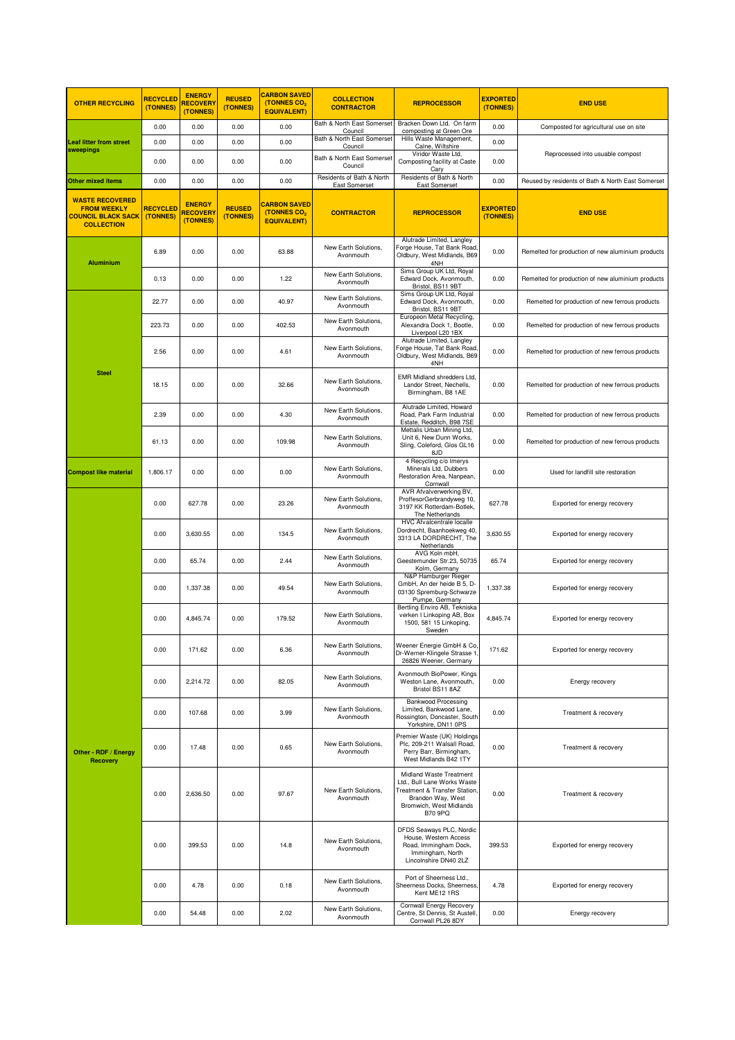| <b>OTHER RECYCLING</b>                                                                         | <b>RECYCLED</b><br>(TONNES) | <b>ENERGY</b><br><b>RECOVERY</b><br>(TONNES) | <b>REUSED</b><br>(TONNES) | <b>CARBON SAVED</b><br>(TONNES CO <sub>2</sub><br><b>EQUIVALENT)</b> | <b>COLLECTION</b><br><b>CONTRACTOR</b>     | <b>REPROCESSOR</b>                                                                                                                                        | <b>EXPORTED</b><br>(TONNES) | <b>END USE</b>                                    |
|------------------------------------------------------------------------------------------------|-----------------------------|----------------------------------------------|---------------------------|----------------------------------------------------------------------|--------------------------------------------|-----------------------------------------------------------------------------------------------------------------------------------------------------------|-----------------------------|---------------------------------------------------|
| <b>Leaf litter from street</b><br>sweepings                                                    | 0.00                        | 0.00                                         | 0.00                      | 0.00                                                                 | Bath & North East Somerset<br>Council      | Bracken Down Ltd. On farm<br>composting at Green Ore                                                                                                      | 0.00                        | Composted for agricultural use on site            |
|                                                                                                | 0.00                        | 0.00                                         | 0.00                      | 0.00                                                                 | Bath & North East Somerset<br>Council      | Hills Waste Management,<br>Calne, Wiltshire                                                                                                               | 0.00                        |                                                   |
|                                                                                                | 0.00                        | 0.00                                         | 0.00                      | 0.00                                                                 | Bath & North East Somerset<br>Council      | Viridor Waste Ltd,<br>Composting facility at Caste<br>Cary                                                                                                | 0.00                        | Reprocessed into usuable compost                  |
| Other mixed items                                                                              | 0.00                        | 0.00                                         | 0.00                      | 0.00                                                                 | Residents of Bath & North<br>East Somerset | Residents of Bath & North<br>East Somerset                                                                                                                | 0.00                        | Reused by residents of Bath & North East Somerset |
| <b>WASTE RECOVERED</b><br><b>FROM WEEKLY</b><br><b>COUNCIL BLACK SACK</b><br><b>COLLECTION</b> | <b>RECYCLED</b><br>(TONNES) | <b>ENERGY</b><br><b>RECOVERY</b><br>(TONNES) | <b>REUSED</b><br>(TONNES) | <b>CARBON SAVED</b><br>(TONNES CO <sub>2</sub><br><b>EQUIVALENT)</b> | <b>CONTRACTOR</b>                          | <b>REPROCESSOR</b>                                                                                                                                        | <b>EXPORTED</b><br>(TONNES) | <b>END USE</b>                                    |
| <b>Aluminium</b>                                                                               | 6.89                        | 0.00                                         | 0.00                      | 63.88                                                                | New Earth Solutions,<br>Avonmouth          | Alutrade Limited, Langley<br>Forge House, Tat Bank Road<br>Oldbury, West Midlands, B69<br>4NH                                                             | 0.00                        | Remelted for production of new aluminium products |
|                                                                                                | 0.13                        | 0.00                                         | 0.00                      | 1.22                                                                 | New Earth Solutions,<br>Avonmouth          | Sims Group UK Ltd, Royal<br>Edward Dock, Avonmouth,<br>Bristol, BS11 9BT                                                                                  | 0.00                        | Remelted for production of new aluminium products |
|                                                                                                | 22.77                       | 0.00                                         | 0.00                      | 40.97                                                                | New Earth Solutions,<br>Avonmouth          | Sims Group UK Ltd, Royal<br>Edward Dock, Avonmouth,<br>Bristol, BS11 9BT                                                                                  | 0.00                        | Remelted for production of new ferrous products   |
|                                                                                                | 223.73                      | 0.00                                         | 0.00                      | 402.53                                                               | New Earth Solutions,<br>Avonmouth          | Europeon Metal Recycling,<br>Alexandra Dock 1, Bootle,<br>Liverpool L20 1BX                                                                               | 0.00                        | Remelted for production of new ferrous products   |
|                                                                                                | 2.56                        | 0.00                                         | 0.00                      | 4.61                                                                 | New Earth Solutions,<br>Avonmouth          | Alutrade Limited, Langley<br>Forge House, Tat Bank Road<br>Oldbury, West Midlands, B69<br>4NH                                                             | 0.00                        | Remelted for production of new ferrous products   |
| <b>Steel</b>                                                                                   | 18.15                       | 0.00                                         | 0.00                      | 32.66                                                                | New Earth Solutions,<br>Avonmouth          | EMR Midland shredders Ltd,<br>Landor Street, Nechells.<br>Birmingham, B8 1AE                                                                              | 0.00                        | Remelted for production of new ferrous products   |
|                                                                                                | 2.39                        | 0.00                                         | 0.00                      | 4.30                                                                 | New Earth Solutions,<br>Avonmouth          | Alutrade Limited, Howard<br>Road, Park Farm Industrial<br>Estate, Redditch, B98 7SE                                                                       | 0.00                        | Remelted for production of new ferrous products   |
|                                                                                                | 61.13                       | 0.00                                         | 0.00                      | 109.98                                                               | New Earth Solutions,<br>Avonmouth          | Mettalis Urban Mining Ltd,<br>Unit 6, New Dunn Works,<br>Sling, Coleford, Glos GL16<br>8JD                                                                | 0.00                        | Remelted for production of new ferrous products   |
| <b>Compost like material</b>                                                                   | 1,806.17                    | 0.00                                         | 0.00                      | 0.00                                                                 | New Earth Solutions,<br>Avonmouth          | 4 Recycling c/o Imerys<br>Minerals Ltd, Dubbers<br>Restoration Area, Nanpean,<br>Cornwall                                                                 | 0.00                        | Used for landfill site restoration                |
|                                                                                                | 0.00                        | 627.78                                       | 0.00                      | 23.26                                                                | New Earth Solutions,<br>Avonmouth          | AVR Afvalverwerking BV,<br>ProffesorGerbrandyweg 10,<br>3197 KK Rotterdam-Botlek,<br>The Netherlands                                                      | 627.78                      | Exported for energy recovery                      |
|                                                                                                | 0.00                        | 3,630.55                                     | 0.00                      | 134.5                                                                | New Earth Solutions,<br>Avonmouth          | HVC Afvalcentrale localle<br>Dordrecht, Baanhoekweg 40,<br>3313 LA DORDRECHT, The<br>Netherlands                                                          | 3,630.55                    | Exported for energy recovery                      |
|                                                                                                | 0.00                        | 65.74                                        | 0.00                      | 2.44                                                                 | New Earth Solutions,<br>Avonmouth          | AVG Koln mbH,<br>Geestemunder Str.23, 50735<br>Kolm, Germany                                                                                              | 65.74                       | Exported for energy recovery                      |
|                                                                                                | 0.00                        | 1,337.38                                     | 0.00                      | 49.54                                                                | New Earth Solutions,<br>Avonmouth          | N&P Hamburger Rieger<br>GmbH, An der heide B 5, D-<br>03130 Spremburg-Schwarze<br>Pumpe, Germany                                                          | 1,337.38                    | Exported for energy recovery                      |
|                                                                                                | 0.00                        | 4,845.74                                     | 0.00                      | 179.52                                                               | New Earth Solutions.<br>Avonmouth          | Bertling Enviro AB, Tekniska<br>verken I Linkoping AB, Box<br>1500, 581 15 Linkoping,<br>Sweden                                                           | 4,845.74                    | Exported for energy recovery                      |
|                                                                                                | 0.00                        | 171.62                                       | 0.00                      | 6.36                                                                 | New Earth Solutions,<br>Avonmouth          | Weener Energie GmbH & Co,<br>Dr-Werner-Klingele Strasse 1<br>26826 Weener, Germany                                                                        | 171.62                      | Exported for energy recovery                      |
|                                                                                                | 0.00                        | 2.214.72                                     | 0.00                      | 82.05                                                                | New Earth Solutions,<br>Avonmouth          | Avonmouth BioPower, Kings<br>Weston Lane, Avonmouth.<br>Bristol BS11 8AZ                                                                                  | 0.00                        | Energy recovery                                   |
| Other - RDF / Energy<br><b>Recovery</b>                                                        | 0.00                        | 107.68                                       | 0.00                      | 3.99                                                                 | New Earth Solutions.<br>Avonmouth          | <b>Bankwood Processing</b><br>Limited, Bankwood Lane,<br>Rossington, Doncaster, South<br>Yorkshire, DN11 0PS                                              | 0.00                        | Treatment & recovery                              |
|                                                                                                | 0.00                        | 17.48                                        | 0.00                      | 0.65                                                                 | New Earth Solutions,<br>Avonmouth          | Premier Waste (UK) Holdings<br>Plc, 209-211 Walsall Road,<br>Perry Barr, Birmingham,<br>West Midlands B42 1TY                                             | 0.00                        | Treatment & recovery                              |
|                                                                                                | 0.00                        | 2,636.50                                     | 0.00                      | 97.67                                                                | New Earth Solutions,<br>Avonmouth          | Midland Waste Treatment<br>Ltd., Bull Lane Works Waste<br>Treatment & Transfer Station,<br>Brandon Way, West<br>Bromwich, West Midlands<br><b>B70 9PQ</b> | 0.00                        | Treatment & recovery                              |
|                                                                                                | 0.00                        | 399.53                                       | 0.00                      | 14.8                                                                 | New Earth Solutions,<br>Avonmouth          | DFDS Seaways PLC, Nordic<br>House, Western Access<br>Road, Immingham Dock,<br>Immingham, North<br>Lincolnshire DN40 2LZ                                   | 399.53                      | Exported for energy recovery                      |
|                                                                                                | 0.00                        | 4.78                                         | 0.00                      | 0.18                                                                 | New Earth Solutions,<br>Avonmouth          | Port of Sheerness Ltd.,<br>Sheerness Docks, Sheerness<br>Kent ME12 1RS                                                                                    | 4.78                        | Exported for energy recovery                      |
|                                                                                                | 0.00                        | 54.48                                        | 0.00                      | 2.02                                                                 | New Earth Solutions,<br>Avonmouth          | Cornwall Energy Recovery<br>Centre, St Dennis, St Austell,<br>Cornwall PL26 8DY                                                                           | 0.00                        | Energy recovery                                   |